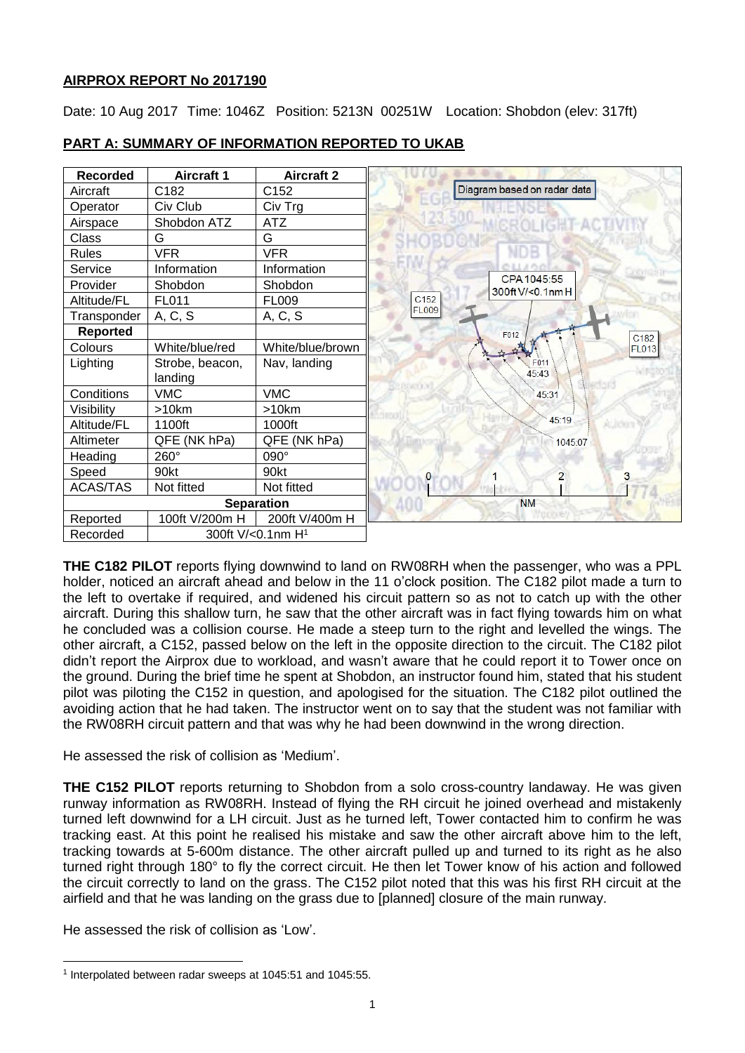# **AIRPROX REPORT No 2017190**

Date: 10 Aug 2017 Time: 1046Z Position: 5213N 00251W Location: Shobdon (elev: 317ft)

| <b>Recorded</b>   | <b>Aircraft 1</b>             | <b>Aircraft 2</b> |                                 |
|-------------------|-------------------------------|-------------------|---------------------------------|
| Aircraft          | C182                          | C152              | Diagram based on radar data     |
| Operator          | Civ Club                      | Civ Trg           |                                 |
| Airspace          | Shobdon ATZ                   | <b>ATZ</b>        | <b>ROLIGHT ACT</b>              |
| Class             | G                             | G                 |                                 |
| <b>Rules</b>      | <b>VFR</b>                    | <b>VFR</b>        |                                 |
| Service           | Information                   | Information       |                                 |
| Provider          | Shobdon                       | Shobdon           | CPA 1045:55<br>300ft V/<0.1nm H |
| Altitude/FL       | FL011                         | <b>FL009</b>      | C <sub>152</sub>                |
| Transponder       | A, C, S                       | A, C, S           | <b>FL009</b>                    |
| <b>Reported</b>   |                               |                   | F012<br>C <sub>182</sub>        |
| Colours           | White/blue/red                | White/blue/brown  | <b>FL013</b>                    |
| Lighting          | Strobe, beacon,               | Nav, landing      | F011                            |
|                   | landing                       |                   | 45:43                           |
| Conditions        | <b>VMC</b>                    | <b>VMC</b>        | 45:31                           |
| Visibility        | >10km                         | >10km             |                                 |
| Altitude/FL       | 1100ft                        | 1000ft            | 45:19                           |
| Altimeter         | QFE (NK hPa)                  | QFE (NK hPa)      | 1045:07                         |
| Heading           | 260°                          | 090°              |                                 |
| Speed             | 90kt                          | 90kt              | 2<br>3                          |
| <b>ACAS/TAS</b>   | Not fitted                    | Not fitted        |                                 |
| <b>Separation</b> |                               |                   | <b>NM</b>                       |
| Reported          | 100ft V/200m H                | 200ft V/400m H    |                                 |
| Recorded          | 300ft V/<0.1nm H <sup>1</sup> |                   |                                 |

# **PART A: SUMMARY OF INFORMATION REPORTED TO UKAB**

**THE C182 PILOT** reports flying downwind to land on RW08RH when the passenger, who was a PPL holder, noticed an aircraft ahead and below in the 11 o'clock position. The C182 pilot made a turn to the left to overtake if required, and widened his circuit pattern so as not to catch up with the other aircraft. During this shallow turn, he saw that the other aircraft was in fact flying towards him on what he concluded was a collision course. He made a steep turn to the right and levelled the wings. The other aircraft, a C152, passed below on the left in the opposite direction to the circuit. The C182 pilot didn't report the Airprox due to workload, and wasn't aware that he could report it to Tower once on the ground. During the brief time he spent at Shobdon, an instructor found him, stated that his student pilot was piloting the C152 in question, and apologised for the situation. The C182 pilot outlined the avoiding action that he had taken. The instructor went on to say that the student was not familiar with the RW08RH circuit pattern and that was why he had been downwind in the wrong direction.

He assessed the risk of collision as 'Medium'.

**THE C152 PILOT** reports returning to Shobdon from a solo cross-country landaway. He was given runway information as RW08RH. Instead of flying the RH circuit he joined overhead and mistakenly turned left downwind for a LH circuit. Just as he turned left, Tower contacted him to confirm he was tracking east. At this point he realised his mistake and saw the other aircraft above him to the left, tracking towards at 5-600m distance. The other aircraft pulled up and turned to its right as he also turned right through 180° to fly the correct circuit. He then let Tower know of his action and followed the circuit correctly to land on the grass. The C152 pilot noted that this was his first RH circuit at the airfield and that he was landing on the grass due to [planned] closure of the main runway.

He assessed the risk of collision as 'Low'.

l 1 Interpolated between radar sweeps at 1045:51 and 1045:55.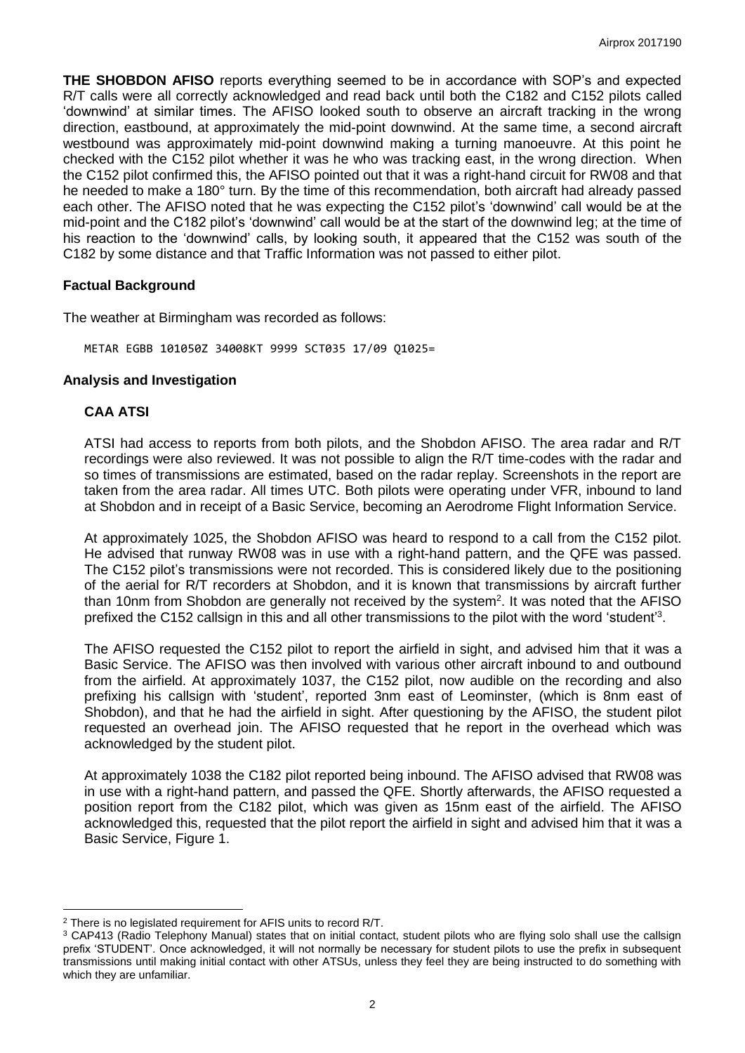**THE SHOBDON AFISO** reports everything seemed to be in accordance with SOP's and expected R/T calls were all correctly acknowledged and read back until both the C182 and C152 pilots called 'downwind' at similar times. The AFISO looked south to observe an aircraft tracking in the wrong direction, eastbound, at approximately the mid-point downwind. At the same time, a second aircraft westbound was approximately mid-point downwind making a turning manoeuvre. At this point he checked with the C152 pilot whether it was he who was tracking east, in the wrong direction. When the C152 pilot confirmed this, the AFISO pointed out that it was a right-hand circuit for RW08 and that he needed to make a 180° turn. By the time of this recommendation, both aircraft had already passed each other. The AFISO noted that he was expecting the C152 pilot's 'downwind' call would be at the mid-point and the C182 pilot's 'downwind' call would be at the start of the downwind leg; at the time of his reaction to the 'downwind' calls, by looking south, it appeared that the C152 was south of the C182 by some distance and that Traffic Information was not passed to either pilot.

### **Factual Background**

The weather at Birmingham was recorded as follows:

METAR EGBB 101050Z 34008KT 9999 SCT035 17/09 Q1025=

#### **Analysis and Investigation**

### **CAA ATSI**

 $\overline{a}$ 

ATSI had access to reports from both pilots, and the Shobdon AFISO. The area radar and R/T recordings were also reviewed. It was not possible to align the R/T time-codes with the radar and so times of transmissions are estimated, based on the radar replay. Screenshots in the report are taken from the area radar. All times UTC. Both pilots were operating under VFR, inbound to land at Shobdon and in receipt of a Basic Service, becoming an Aerodrome Flight Information Service.

At approximately 1025, the Shobdon AFISO was heard to respond to a call from the C152 pilot. He advised that runway RW08 was in use with a right-hand pattern, and the QFE was passed. The C152 pilot's transmissions were not recorded. This is considered likely due to the positioning of the aerial for R/T recorders at Shobdon, and it is known that transmissions by aircraft further than 10nm from Shobdon are generally not received by the system<sup>2</sup>. It was noted that the AFISO prefixed the C152 callsign in this and all other transmissions to the pilot with the word 'student'<sup>3</sup>.

The AFISO requested the C152 pilot to report the airfield in sight, and advised him that it was a Basic Service. The AFISO was then involved with various other aircraft inbound to and outbound from the airfield. At approximately 1037, the C152 pilot, now audible on the recording and also prefixing his callsign with 'student', reported 3nm east of Leominster, (which is 8nm east of Shobdon), and that he had the airfield in sight. After questioning by the AFISO, the student pilot requested an overhead join. The AFISO requested that he report in the overhead which was acknowledged by the student pilot.

At approximately 1038 the C182 pilot reported being inbound. The AFISO advised that RW08 was in use with a right-hand pattern, and passed the QFE. Shortly afterwards, the AFISO requested a position report from the C182 pilot, which was given as 15nm east of the airfield. The AFISO acknowledged this, requested that the pilot report the airfield in sight and advised him that it was a Basic Service, Figure 1.

<sup>2</sup> There is no legislated requirement for AFIS units to record R/T.

<sup>&</sup>lt;sup>3</sup> CAP413 (Radio Telephony Manual) states that on initial contact, student pilots who are flying solo shall use the callsign prefix 'STUDENT'. Once acknowledged, it will not normally be necessary for student pilots to use the prefix in subsequent transmissions until making initial contact with other ATSUs, unless they feel they are being instructed to do something with which they are unfamiliar.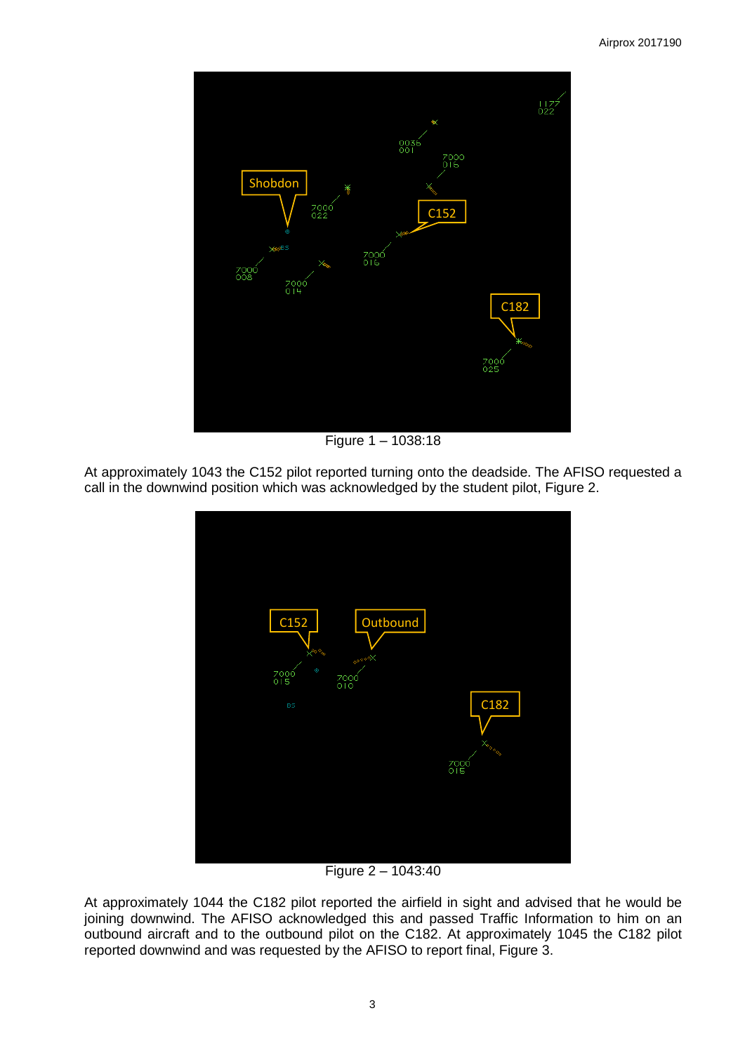

Figure 1 – 1038:18

At approximately 1043 the C152 pilot reported turning onto the deadside. The AFISO requested a call in the downwind position which was acknowledged by the student pilot, Figure 2.



Figure 2 – 1043:40

At approximately 1044 the C182 pilot reported the airfield in sight and advised that he would be joining downwind. The AFISO acknowledged this and passed Traffic Information to him on an outbound aircraft and to the outbound pilot on the C182. At approximately 1045 the C182 pilot reported downwind and was requested by the AFISO to report final, Figure 3.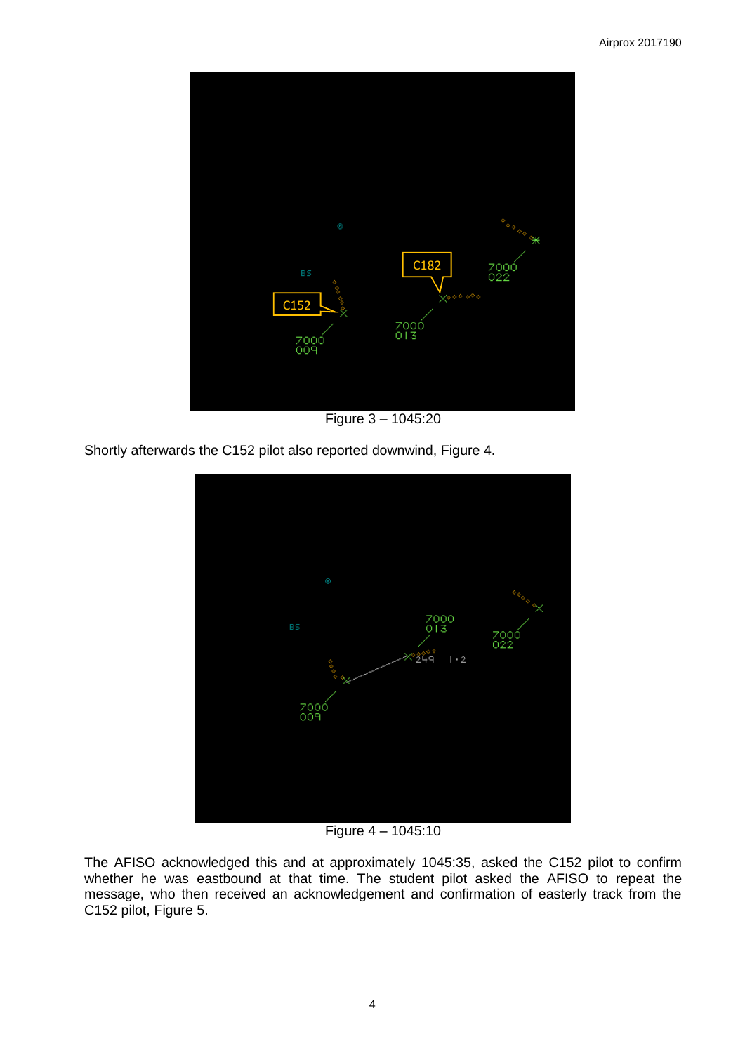

Figure 3 – 1045:20

Shortly afterwards the C152 pilot also reported downwind, Figure 4.



Figure 4 – 1045:10

The AFISO acknowledged this and at approximately 1045:35, asked the C152 pilot to confirm whether he was eastbound at that time. The student pilot asked the AFISO to repeat the message, who then received an acknowledgement and confirmation of easterly track from the C152 pilot, Figure 5.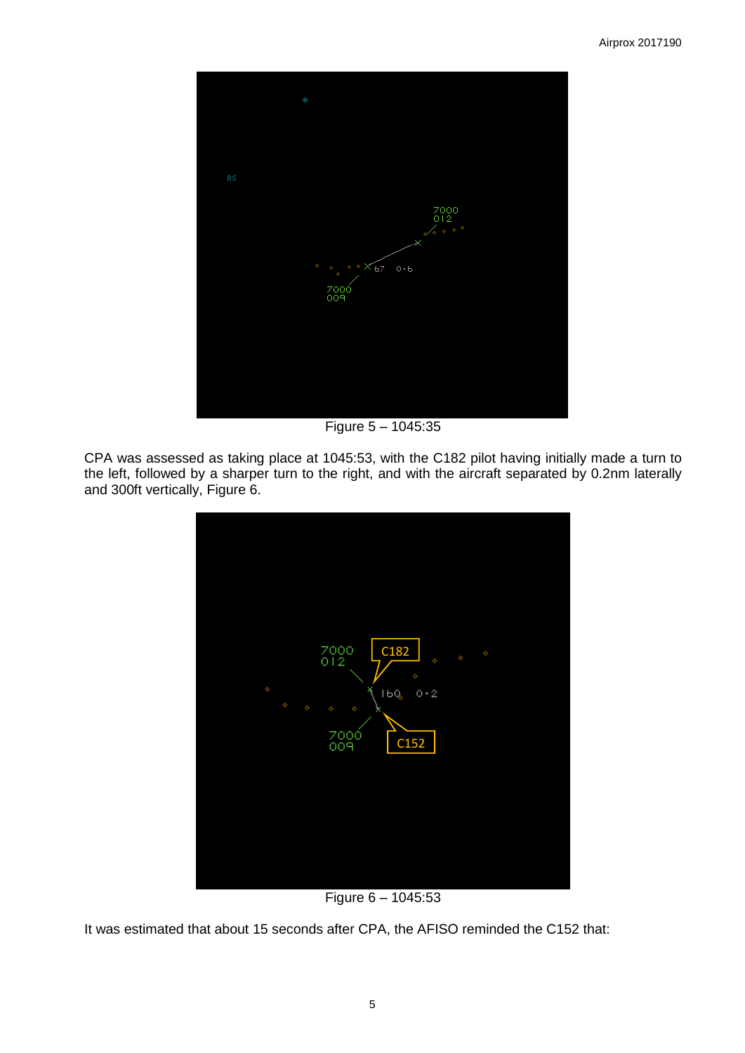

Figure 5 – 1045:35

CPA was assessed as taking place at 1045:53, with the C182 pilot having initially made a turn to the left, followed by a sharper turn to the right, and with the aircraft separated by 0.2nm laterally and 300ft vertically, Figure 6.



Figure 6 – 1045:53

It was estimated that about 15 seconds after CPA, the AFISO reminded the C152 that: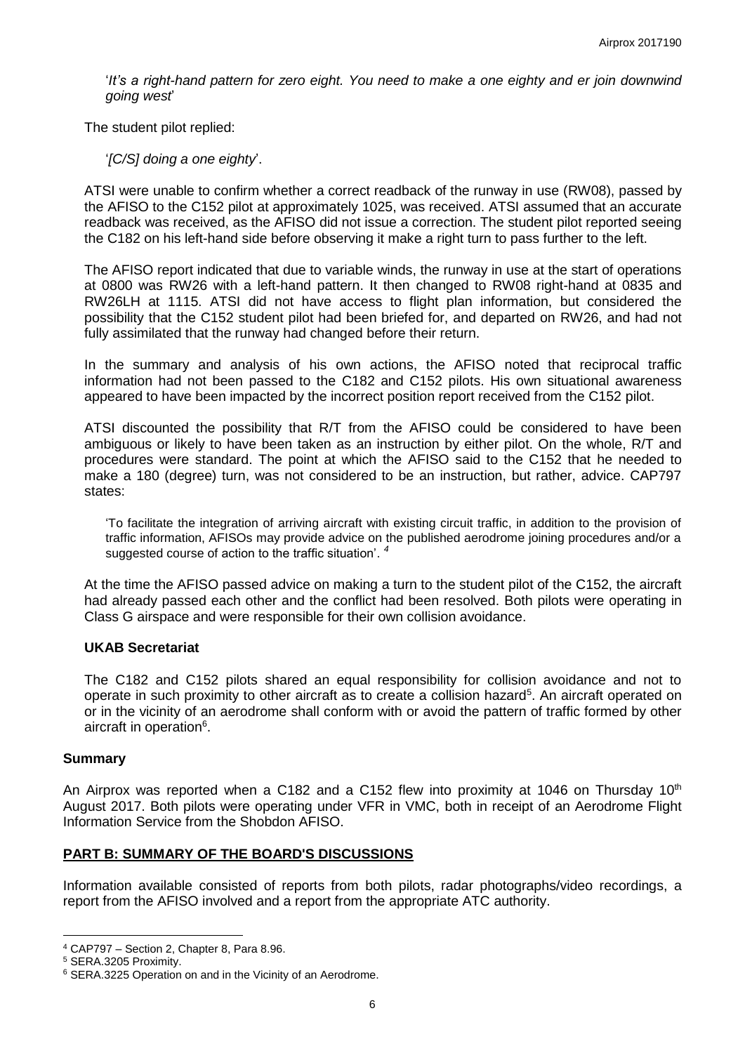'*It's a right-hand pattern for zero eight. You need to make a one eighty and er join downwind going west*'

The student pilot replied:

'*[C/S] doing a one eighty*'.

ATSI were unable to confirm whether a correct readback of the runway in use (RW08), passed by the AFISO to the C152 pilot at approximately 1025, was received. ATSI assumed that an accurate readback was received, as the AFISO did not issue a correction. The student pilot reported seeing the C182 on his left-hand side before observing it make a right turn to pass further to the left.

The AFISO report indicated that due to variable winds, the runway in use at the start of operations at 0800 was RW26 with a left-hand pattern. It then changed to RW08 right-hand at 0835 and RW26LH at 1115. ATSI did not have access to flight plan information, but considered the possibility that the C152 student pilot had been briefed for, and departed on RW26, and had not fully assimilated that the runway had changed before their return.

In the summary and analysis of his own actions, the AFISO noted that reciprocal traffic information had not been passed to the C182 and C152 pilots. His own situational awareness appeared to have been impacted by the incorrect position report received from the C152 pilot.

ATSI discounted the possibility that R/T from the AFISO could be considered to have been ambiguous or likely to have been taken as an instruction by either pilot. On the whole, R/T and procedures were standard. The point at which the AFISO said to the C152 that he needed to make a 180 (degree) turn, was not considered to be an instruction, but rather, advice. CAP797 states:

'To facilitate the integration of arriving aircraft with existing circuit traffic, in addition to the provision of traffic information, AFISOs may provide advice on the published aerodrome joining procedures and/or a suggested course of action to the traffic situation'. *4*

At the time the AFISO passed advice on making a turn to the student pilot of the C152, the aircraft had already passed each other and the conflict had been resolved. Both pilots were operating in Class G airspace and were responsible for their own collision avoidance.

# **UKAB Secretariat**

The C182 and C152 pilots shared an equal responsibility for collision avoidance and not to operate in such proximity to other aircraft as to create a collision hazard<sup>5</sup>. An aircraft operated on or in the vicinity of an aerodrome shall conform with or avoid the pattern of traffic formed by other aircraft in operation<sup>6</sup>.

#### **Summary**

An Airprox was reported when a C182 and a C152 flew into proximity at 1046 on Thursday 10<sup>th</sup> August 2017. Both pilots were operating under VFR in VMC, both in receipt of an Aerodrome Flight Information Service from the Shobdon AFISO.

# **PART B: SUMMARY OF THE BOARD'S DISCUSSIONS**

Information available consisted of reports from both pilots, radar photographs/video recordings, a report from the AFISO involved and a report from the appropriate ATC authority.

l <sup>4</sup> CAP797 – Section 2, Chapter 8, Para 8.96.

<sup>5</sup> SERA.3205 Proximity.

<sup>6</sup> SERA.3225 Operation on and in the Vicinity of an Aerodrome.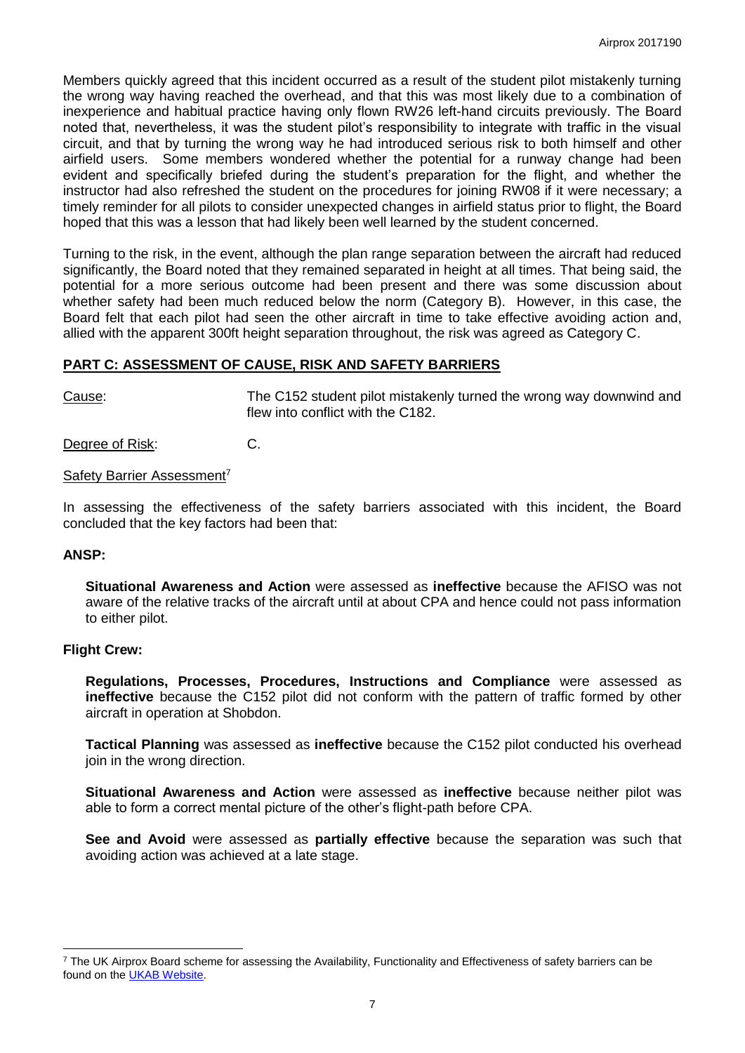Members quickly agreed that this incident occurred as a result of the student pilot mistakenly turning the wrong way having reached the overhead, and that this was most likely due to a combination of inexperience and habitual practice having only flown RW26 left-hand circuits previously. The Board noted that, nevertheless, it was the student pilot's responsibility to integrate with traffic in the visual circuit, and that by turning the wrong way he had introduced serious risk to both himself and other airfield users. Some members wondered whether the potential for a runway change had been evident and specifically briefed during the student's preparation for the flight, and whether the instructor had also refreshed the student on the procedures for joining RW08 if it were necessary; a timely reminder for all pilots to consider unexpected changes in airfield status prior to flight, the Board hoped that this was a lesson that had likely been well learned by the student concerned.

Turning to the risk, in the event, although the plan range separation between the aircraft had reduced significantly, the Board noted that they remained separated in height at all times. That being said, the potential for a more serious outcome had been present and there was some discussion about whether safety had been much reduced below the norm (Category B). However, in this case, the Board felt that each pilot had seen the other aircraft in time to take effective avoiding action and, allied with the apparent 300ft height separation throughout, the risk was agreed as Category C.

### **PART C: ASSESSMENT OF CAUSE, RISK AND SAFETY BARRIERS**

Cause: The C152 student pilot mistakenly turned the wrong way downwind and flew into conflict with the C182.

Degree of Risk: C.

#### Safety Barrier Assessment<sup>7</sup>

In assessing the effectiveness of the safety barriers associated with this incident, the Board concluded that the key factors had been that:

# **ANSP:**

 $\overline{\phantom{a}}$ 

**Situational Awareness and Action** were assessed as **ineffective** because the AFISO was not aware of the relative tracks of the aircraft until at about CPA and hence could not pass information to either pilot.

#### **Flight Crew:**

**Regulations, Processes, Procedures, Instructions and Compliance** were assessed as **ineffective** because the C152 pilot did not conform with the pattern of traffic formed by other aircraft in operation at Shobdon.

**Tactical Planning** was assessed as **ineffective** because the C152 pilot conducted his overhead join in the wrong direction.

**Situational Awareness and Action** were assessed as **ineffective** because neither pilot was able to form a correct mental picture of the other's flight-path before CPA.

**See and Avoid** were assessed as **partially effective** because the separation was such that avoiding action was achieved at a late stage.

<sup>&</sup>lt;sup>7</sup> The UK Airprox Board scheme for assessing the Availability, Functionality and Effectiveness of safety barriers can be found on the **UKAB Website**.